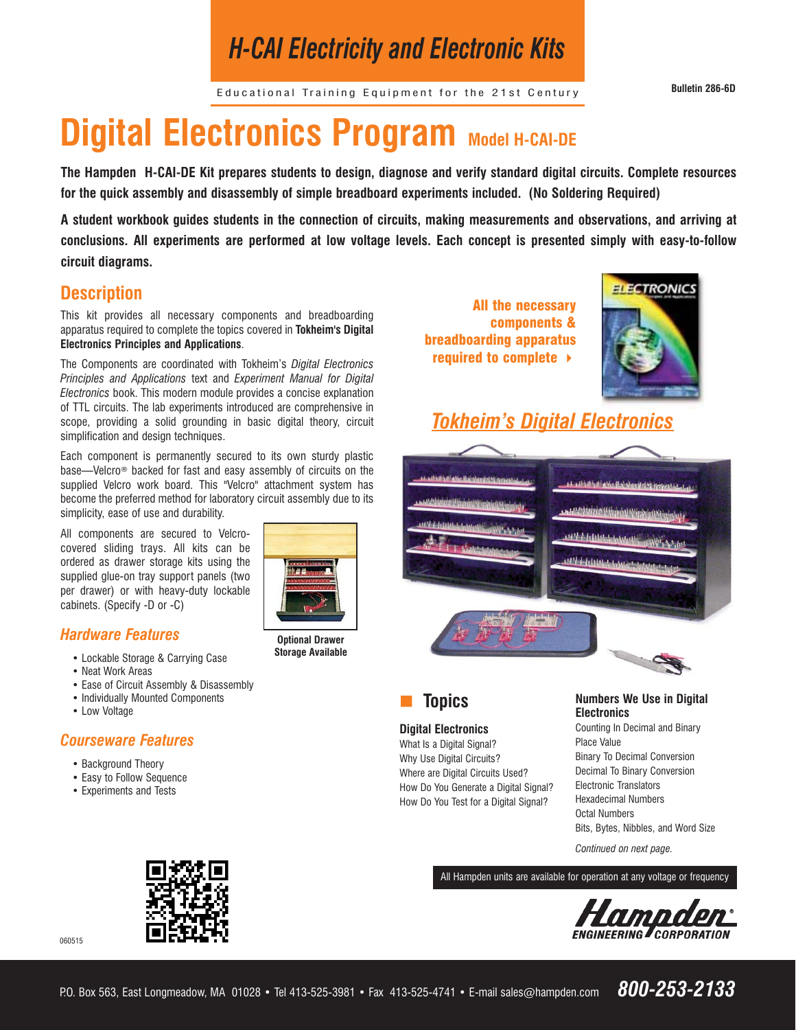# *H-CAI Electricity and Electronic Kits*

Educational Training Equipment for the 21st Century **Bulletin 286-6D**

# **Digital Electronics Program Model H-CAI-DE**

**The Hampden H-CAI-DE Kit prepares students to design, diagnose and verify standard digital circuits. Complete resources for the quick assembly and disassembly of simple breadboard experiments included. (No Soldering Required)**

**A student workbook guides students in the connection of circuits, making measurements and observations, and arriving at conclusions. All experiments are performed at low voltage levels. Each concept is presented simply with easy-to-follow circuit diagrams.**

# **Description**

This kit provides all necessary components and breadboarding apparatus required to complete the topics covered in **Tokheim's Digital Electronics Principles and Applications**.

The Components are coordinated with Tokheim's *Digital Electronics Principles and Applications* text and *Experiment Manual for Digital Electronics* book. This modern module provides a concise explanation of TTL circuits. The lab experiments introduced are comprehensive in scope, providing a solid grounding in basic digital theory, circuit simplification and design techniques.

Each component is permanently secured to its own sturdy plastic base—Velcro® backed for fast and easy assembly of circuits on the supplied Velcro work board. This "Velcro" attachment system has become the preferred method for laboratory circuit assembly due to its simplicity, ease of use and durability.

All components are secured to Velcrocovered sliding trays. All kits can be ordered as drawer storage kits using the supplied glue-on tray support panels (two per drawer) or with heavy-duty lockable cabinets. (Specify -D or -C)

# *Hardware Features*

- Lockable Storage & Carrying Case
- Neat Work Areas
- Ease of Circuit Assembly & Disassembly
- Individually Mounted Components
- Low Voltage

060515

# *Courseware Features*

- Background Theory
- Easy to Follow Sequence
- Experiments and Tests



**Optional Drawer Storage Available**

All the necessary components & breadboarding apparatus required to complete



# *Tokheim's Digital Electronics*





### **Digital Electronics**

What Is a Digital Signal? Why Use Digital Circuits? Where are Digital Circuits Used? How Do You Generate a Digital Signal? How Do You Test for a Digital Signal?

# **Numbers We Use in Digital Electronics**

Counting In Decimal and Binary Place Value Binary To Decimal Conversion Decimal To Binary Conversion Electronic Translators Hexadecimal Numbers Octal Numbers Bits, Bytes, Nibbles, and Word Size

*Continued on next page.*

All Hampden units are available for operation at any voltage or frequency